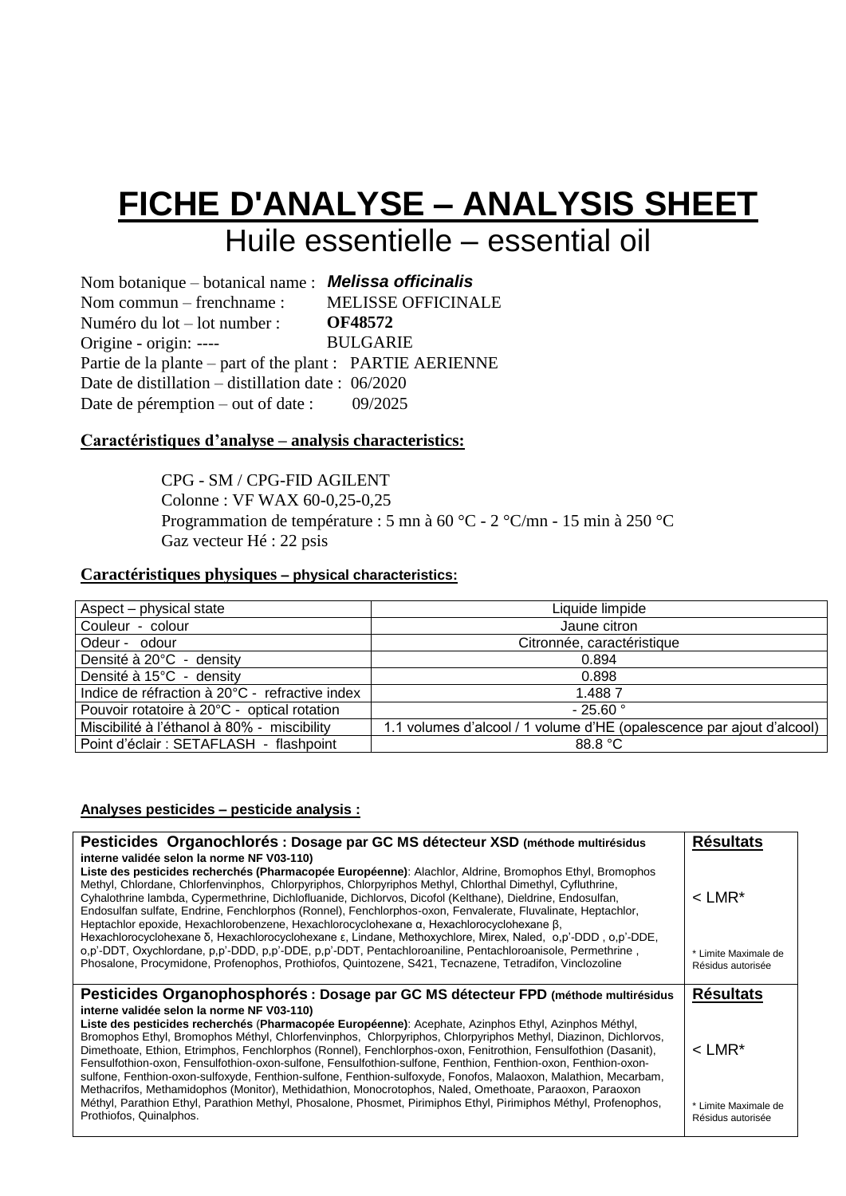### **FICHE D'ANALYSE – ANALYSIS SHEET** Huile essentielle – essential oil

Nom botanique – botanical name : *Melissa officinalis* Nom commun – frenchname : Numéro du lot – lot number : Origine - origin: ---- MELISSE OFFICINALE **OF48572** BULGARIE Partie de la plante – part of the plant : PARTIE AERIENNE Date de distillation – distillation date : 06/2020 Date de péremption – out of date : 09/2025

#### **Caractéristiques d'analyse – analysis characteristics:**

CPG - SM / CPG-FID AGILENT Colonne : VF WAX 60-0,25-0,25 Programmation de température : 5 mn à 60 °C - 2 °C/mn - 15 min à 250 °C Gaz vecteur Hé : 22 psis

#### **Caractéristiques physiques – physical characteristics:**

| Aspect – physical state                        | Liquide limpide                                                       |
|------------------------------------------------|-----------------------------------------------------------------------|
| Couleur - colour                               | Jaune citron                                                          |
| Odeur - odour                                  | Citronnée, caractéristique                                            |
| Densité à 20°C - density                       | 0.894                                                                 |
| Densité à 15°C - density                       | 0.898                                                                 |
| Indice de réfraction à 20°C - refractive index | 1.4887                                                                |
| Pouvoir rotatoire à 20°C - optical rotation    | $-25.60$ °                                                            |
| Miscibilité à l'éthanol à 80% - miscibility    | 1.1 volumes d'alcool / 1 volume d'HE (opalescence par ajout d'alcool) |
| Point d'éclair : SETAFLASH - flashpoint        | 88.8 °C                                                               |

#### **Analyses pesticides – pesticide analysis :**

| Pesticides Organochlorés : Dosage par GC MS détecteur XSD (méthode multirésidus<br>interne validée selon la norme NF V03-110)                                                                                                                                                                                                                                                                                                                                                                                                                                                                                                                                                                                                           | <b>Résultats</b>                          |
|-----------------------------------------------------------------------------------------------------------------------------------------------------------------------------------------------------------------------------------------------------------------------------------------------------------------------------------------------------------------------------------------------------------------------------------------------------------------------------------------------------------------------------------------------------------------------------------------------------------------------------------------------------------------------------------------------------------------------------------------|-------------------------------------------|
| Liste des pesticides recherchés (Pharmacopée Européenne): Alachlor, Aldrine, Bromophos Ethyl, Bromophos<br>Methyl, Chlordane, Chlorfenvinphos, Chlorpyriphos, Chlorpyriphos Methyl, Chlorthal Dimethyl, Cyfluthrine,<br>Cyhalothrine lambda, Cypermethrine, Dichlofluanide, Dichlorvos, Dicofol (Kelthane), Dieldrine, Endosulfan,<br>Endosulfan sulfate, Endrine, Fenchlorphos (Ronnel), Fenchlorphos-oxon, Fenvalerate, Fluvalinate, Heptachlor,<br>Heptachlor epoxide, Hexachlorobenzene, Hexachlorocyclohexane $\alpha$ , Hexachlorocyclohexane $\beta$ ,<br>Hexachlorocyclohexane δ, Hexachlorocyclohexane ε, Lindane, Methoxychlore, Mirex, Naled, o,p'-DDD, o,p'-DDE,                                                            | $<$ I MR*                                 |
| o,p'-DDT, Oxychlordane, p,p'-DDD, p,p'-DDE, p,p'-DDT, Pentachloroaniline, Pentachloroanisole, Permethrine,<br>Phosalone, Procymidone, Profenophos, Prothiofos, Quintozene, S421, Tecnazene, Tetradifon, Vinclozoline                                                                                                                                                                                                                                                                                                                                                                                                                                                                                                                    | * Limite Maximale de<br>Résidus autorisée |
|                                                                                                                                                                                                                                                                                                                                                                                                                                                                                                                                                                                                                                                                                                                                         |                                           |
| Pesticides Organophosphorés : Dosage par GC MS détecteur FPD (méthode multirésidus                                                                                                                                                                                                                                                                                                                                                                                                                                                                                                                                                                                                                                                      | <b>Résultats</b>                          |
| interne validée selon la norme NF V03-110)<br>Liste des pesticides recherchés (Pharmacopée Européenne): Acephate, Azinphos Ethyl, Azinphos Méthyl,<br>Bromophos Ethyl, Bromophos Méthyl, Chlorfenvinphos, Chlorpyriphos, Chlorpyriphos Methyl, Diazinon, Dichlorvos,<br>Dimethoate, Ethion, Etrimphos, Fenchlorphos (Ronnel), Fenchlorphos-oxon, Fenitrothion, Fensulfothion (Dasanit),<br>Fensulfothion-oxon, Fensulfothion-oxon-sulfone, Fensulfothion-sulfone, Fenthion, Fenthion-oxon, Fenthion-oxon-<br>sulfone, Fenthion-oxon-sulfoxyde, Fenthion-sulfone, Fenthion-sulfoxyde, Fonofos, Malaoxon, Malathion, Mecarbam,<br>Methacrifos, Methamidophos (Monitor), Methidathion, Monocrotophos, Naled, Omethoate, Paraoxon, Paraoxon | $<$ I MR*                                 |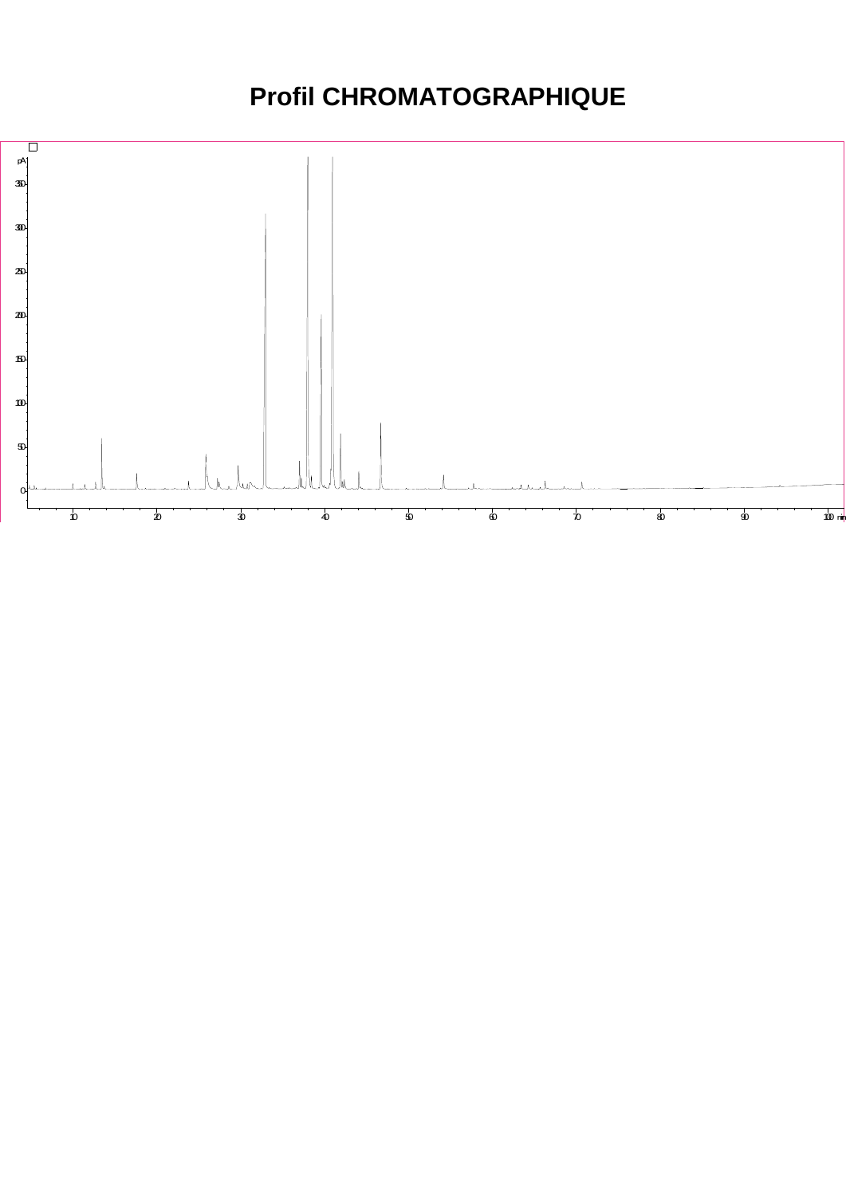### **Profil CHROMATOGRAPHIQUE**

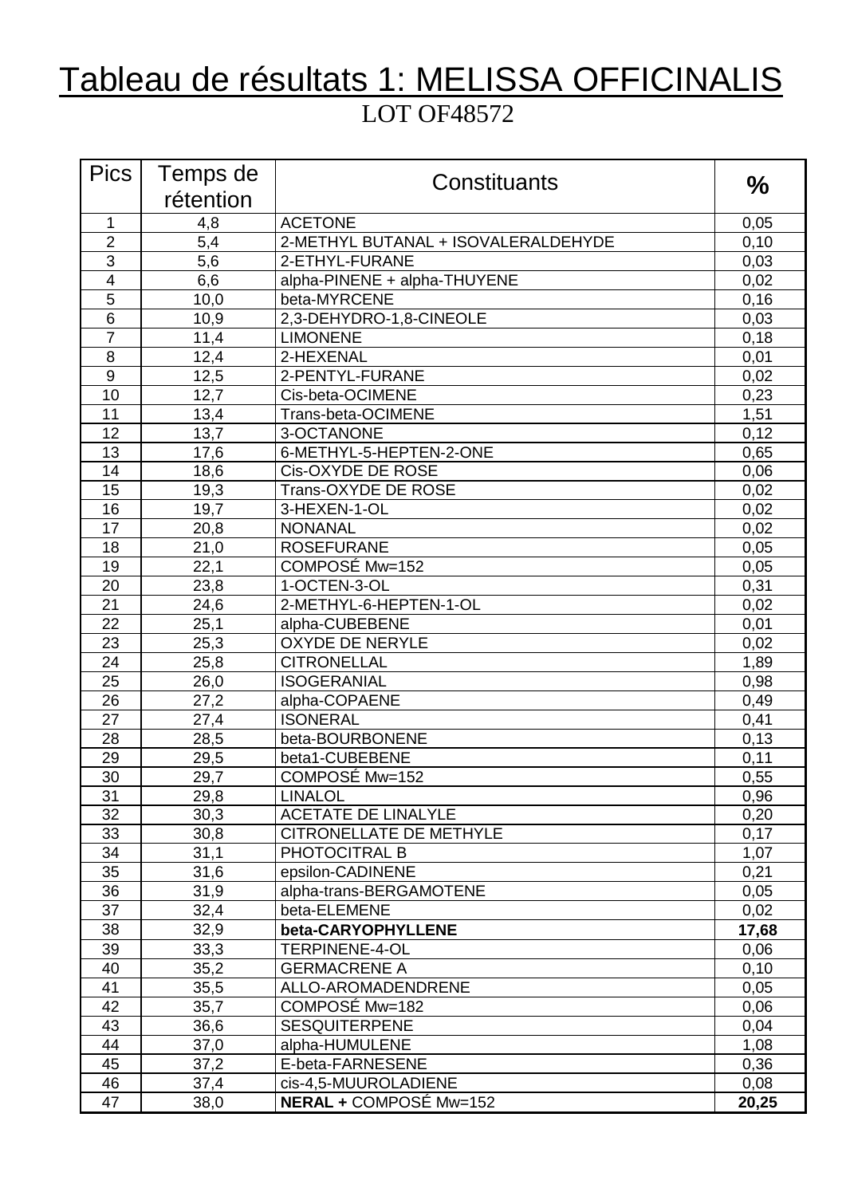## Tableau de résultats 1: MELISSA OFFICINALIS LOT OF48572

| <b>Pics</b>     | Temps de  | Constituants                        | $\frac{0}{0}$ |
|-----------------|-----------|-------------------------------------|---------------|
|                 | rétention |                                     |               |
| $\mathbf{1}$    | 4,8       | <b>ACETONE</b>                      | 0,05          |
| $\overline{2}$  | 5,4       | 2-METHYL BUTANAL + ISOVALERALDEHYDE | 0,10          |
| 3               | 5,6       | 2-ETHYL-FURANE                      | 0,03          |
| $\overline{4}$  | 6,6       | alpha-PINENE + alpha-THUYENE        | 0,02          |
| 5               | 10,0      | beta-MYRCENE                        | 0,16          |
| $6\phantom{1}6$ | 10,9      | 2,3-DEHYDRO-1,8-CINEOLE             | 0,03          |
| $\overline{7}$  | 11,4      | <b>LIMONENE</b>                     | 0,18          |
| 8               | 12,4      | 2-HEXENAL                           | 0,01          |
| 9               | 12,5      | 2-PENTYL-FURANE                     | 0,02          |
| 10              | 12,7      | Cis-beta-OCIMENE                    | 0,23          |
| 11              | 13,4      | Trans-beta-OCIMENE                  | 1,51          |
| 12              | 13,7      | 3-OCTANONE                          | 0,12          |
| 13              | 17,6      | 6-METHYL-5-HEPTEN-2-ONE             | 0,65          |
| 14              | 18,6      | Cis-OXYDE DE ROSE                   | 0,06          |
| 15              | 19,3      | Trans-OXYDE DE ROSE                 | 0,02          |
| 16              | 19,7      | 3-HEXEN-1-OL                        | 0,02          |
| 17              | 20,8      | <b>NONANAL</b>                      | 0,02          |
| 18              | 21,0      | <b>ROSEFURANE</b>                   | 0,05          |
| 19              | 22,1      | COMPOSÉ Mw=152                      | 0,05          |
| 20              | 23,8      | 1-OCTEN-3-OL                        | 0,31          |
| 21              | 24,6      | 2-METHYL-6-HEPTEN-1-OL              | 0,02          |
| 22              | 25,1      | alpha-CUBEBENE                      | 0,01          |
| 23              | 25,3      | <b>OXYDE DE NERYLE</b>              | 0,02          |
| 24              | 25,8      | <b>CITRONELLAL</b>                  | 1,89          |
| 25              | 26,0      | <b>ISOGERANIAL</b>                  | 0,98          |
| 26              | 27,2      | alpha-COPAENE                       | 0,49          |
| 27              | 27,4      | <b>ISONERAL</b>                     | 0,41          |
| 28              | 28,5      | beta-BOURBONENE                     | 0,13          |
| 29              | 29,5      | beta1-CUBEBENE                      | 0,11          |
| 30              | 29,7      | COMPOSÉ Mw=152                      | 0,55          |
| 31              | 29,8      | <b>LINALOL</b>                      | 0,96          |
| 32              | 30,3      | <b>ACETATE DE LINALYLE</b>          | 0,20          |
| 33              | 30,8      | CITRONELLATE DE METHYLE             | 0,17          |
| 34              | 31,1      | PHOTOCITRAL B                       | 1,07          |
| 35              | 31,6      | epsilon-CADINENE                    | 0,21          |
| 36              | 31,9      | alpha-trans-BERGAMOTENE             | 0,05          |
| 37              | 32,4      | beta-ELEMENE                        | 0,02          |
| 38              | 32,9      | beta-CARYOPHYLLENE                  | 17,68         |
| 39              | 33,3      | TERPINENE-4-OL                      | 0,06          |
| 40              | 35,2      | <b>GERMACRENE A</b>                 | 0,10          |
| 41              | 35,5      | ALLO-AROMADENDRENE                  | 0,05          |
| 42              | 35,7      | COMPOSÉ Mw=182                      | 0,06          |
| 43              | 36,6      | <b>SESQUITERPENE</b>                | 0,04          |
| 44              | 37,0      | alpha-HUMULENE                      | 1,08          |
| 45              | 37,2      | E-beta-FARNESENE                    | 0,36          |
| 46              | 37,4      | cis-4,5-MUUROLADIENE                | 0,08          |
| 47              | 38,0      | <b>NERAL + COMPOSÉ Mw=152</b>       | 20,25         |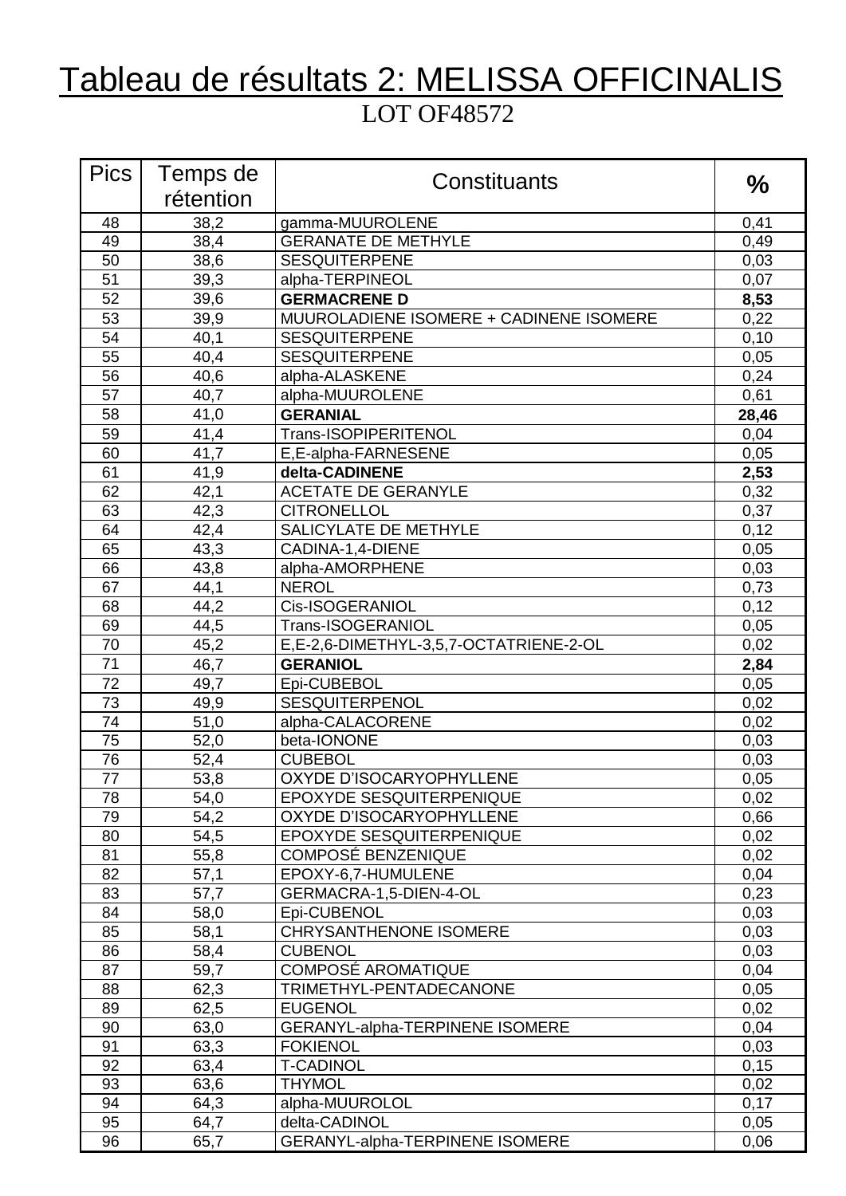# Tableau de résultats 2: MELISSA OFFICINALIS

#### LOT OF48572

| <b>Pics</b> | Temps de  | Constituants                            | $\frac{0}{0}$ |
|-------------|-----------|-----------------------------------------|---------------|
|             | rétention |                                         |               |
| 48          | 38,2      | gamma-MUUROLENE                         | 0,41          |
| 49          | 38,4      | <b>GERANATE DE METHYLE</b>              | 0,49          |
| 50          | 38,6      | <b>SESQUITERPENE</b>                    | 0,03          |
| 51          | 39,3      | alpha-TERPINEOL                         | 0,07          |
| 52          | 39,6      | <b>GERMACRENE D</b>                     | 8,53          |
| 53          | 39,9      | MUUROLADIENE ISOMERE + CADINENE ISOMERE | 0,22          |
| 54          | 40,1      | <b>SESQUITERPENE</b>                    | 0, 10         |
| 55          | 40,4      | <b>SESQUITERPENE</b>                    | 0,05          |
| 56          | 40,6      | alpha-ALASKENE                          | 0,24          |
| 57          | 40,7      | alpha-MUUROLENE                         | 0,61          |
| 58          | 41,0      | <b>GERANIAL</b>                         | 28,46         |
| 59          | 41,4      | Trans-ISOPIPERITENOL                    | 0,04          |
| 60          | 41,7      | E, E-alpha-FARNESENE                    | 0,05          |
| 61          | 41,9      | delta-CADINENE                          | 2,53          |
| 62          | 42,1      | <b>ACETATE DE GERANYLE</b>              | 0,32          |
| 63          | 42,3      | <b>CITRONELLOL</b>                      | 0,37          |
| 64          | 42,4      | SALICYLATE DE METHYLE                   | 0,12          |
| 65          | 43,3      | CADINA-1,4-DIENE                        | 0,05          |
| 66          | 43,8      | alpha-AMORPHENE                         | 0,03          |
| 67          | 44,1      | <b>NEROL</b>                            | 0,73          |
| 68          | 44,2      | Cis-ISOGERANIOL                         | 0,12          |
| 69          | 44,5      | Trans-ISOGERANIOL                       | 0,05          |
| 70          | 45,2      | E,E-2,6-DIMETHYL-3,5,7-OCTATRIENE-2-OL  | 0,02          |
| 71          | 46,7      | <b>GERANIOL</b>                         | 2,84          |
| 72          | 49,7      | Epi-CUBEBOL                             | 0,05          |
| 73          | 49,9      | SESQUITERPENOL                          | 0,02          |
| 74          | 51,0      | alpha-CALACORENE                        | 0,02          |
| 75          | 52,0      | beta-IONONE                             | 0,03          |
| 76          | 52,4      | <b>CUBEBOL</b>                          | 0,03          |
| 77          | 53,8      | OXYDE D'ISOCARYOPHYLLENE                | 0,05          |
| 78          | 54,0      | EPOXYDE SESQUITERPENIQUE                | 0,02          |
| 79          | 54,2      | OXYDE D'ISOCARYOPHYLLENE                | 0,66          |
| 80          | 54,5      | EPOXYDE SESQUITERPENIQUE                | 0,02          |
| 81          | 55,8      | <b>COMPOSÉ BENZENIQUE</b>               | 0,02          |
| 82          | 57,1      | EPOXY-6,7-HUMULENE                      | 0,04          |
| 83          | 57,7      | GERMACRA-1,5-DIEN-4-OL                  | 0,23          |
| 84          | 58,0      | Epi-CUBENOL                             | 0,03          |
| 85          | 58,1      | <b>CHRYSANTHENONE ISOMERE</b>           | 0,03          |
| 86          | 58,4      | <b>CUBENOL</b>                          | 0,03          |
| 87          | 59,7      | <b>COMPOSÉ AROMATIQUE</b>               | 0,04          |
| 88          | 62,3      | TRIMETHYL-PENTADECANONE                 | 0,05          |
| 89          | 62,5      | <b>EUGENOL</b>                          | 0,02          |
| 90          | 63,0      | <b>GERANYL-alpha-TERPINENE ISOMERE</b>  | 0,04          |
| 91          | 63,3      | <b>FOKIENOL</b>                         | 0,03          |
| 92          | 63,4      | <b>T-CADINOL</b>                        | 0, 15         |
| 93          | 63,6      | <b>THYMOL</b>                           | 0,02          |
| 94          | 64,3      | alpha-MUUROLOL                          | 0,17          |
| 95          | 64,7      | delta-CADINOL                           | 0,05          |
| 96          | 65,7      | GERANYL-alpha-TERPINENE ISOMERE         | 0,06          |